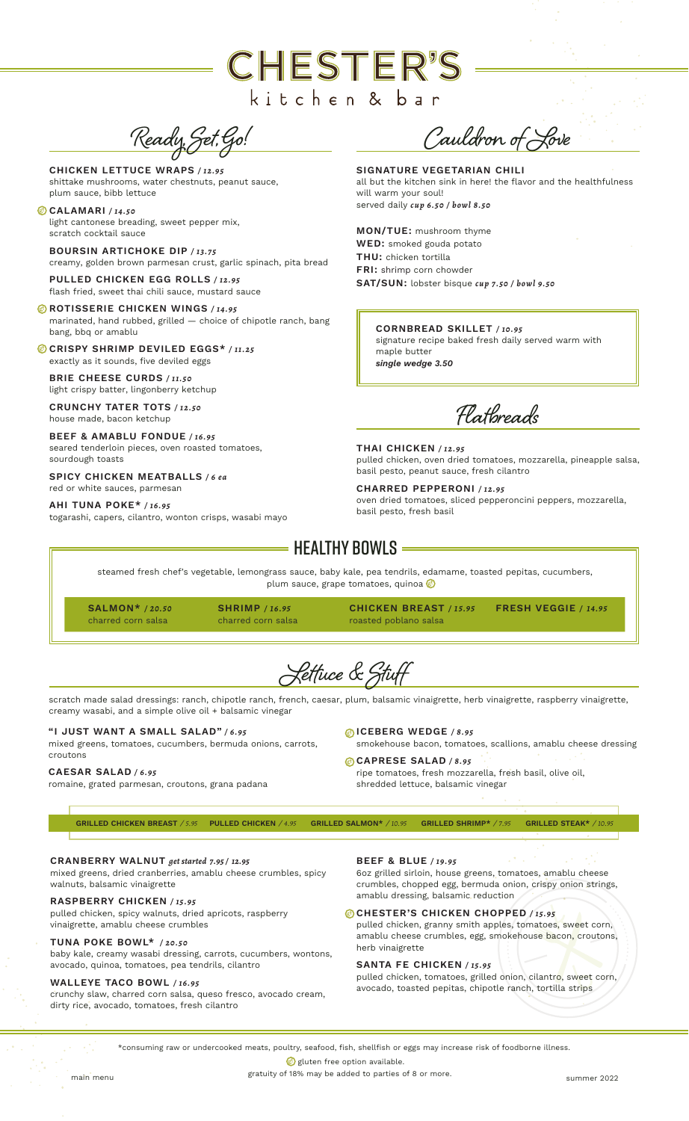# **CHESTER'S** kitchen & bar

Ready, Set, Go!

CHICKEN LETTUCE WRAPS */ 12.95* shittake mushrooms, water chestnuts, peanut sauce, plum sauce, bibb lettuce

CALAMARI */ 14.50* light cantonese breading, sweet pepper mix, scratch cocktail sauce

BOURSIN ARTICHOKE DIP */ 13.75* creamy, golden brown parmesan crust, garlic spinach, pita bread

PULLED CHICKEN EGG ROLLS */ 12.95* flash fried, sweet thai chili sauce, mustard sauce

**BROTISSERIE CHICKEN WINGS / 14.95** marinated, hand rubbed, grilled — choice of chipotle ranch, bang bang, bbq or amablu

CRISPY SHRIMP DEVILED EGGS\* */ 11.25* exactly as it sounds, five deviled eggs

BRIE CHEESE CURDS */ 11.50* light crispy batter, lingonberry ketchup

CRUNCHY TATER TOTS */ 12.50* house made, bacon ketchup

BEEF & AMABLU FONDUE */ 16.95* seared tenderloin pieces, oven roasted tomatoes, sourdough toasts

SPICY CHICKEN MEATBALLS */ 6 ea* red or white sauces, parmesan

AHI TUNA POKE\* */ 16.95*

togarashi, capers, cilantro, wonton crisps, wasabi mayo

Cauldron of Love

SIGNATURE VEGETARIAN CHILI all but the kitchen sink in here! the flavor and the healthfulness will warm your soul! served daily *cup 6.50 / bowl 8.50*

MON/TUE: mushroom thyme WED: smoked gouda potato THU: chicken tortilla FRI: shrimp corn chowder SAT/SUN: lobster bisque *cup 7.50 / bowl 9.50*

CORNBREAD SKILLET */ 10.95* signature recipe baked fresh daily served warm with maple butter *single wedge 3.50*

Flatbreads

THAI CHICKEN */ 12.95* pulled chicken, oven dried tomatoes, mozzarella, pineapple salsa, basil pesto, peanut sauce, fresh cilantro

CHARRED PEPPERONI */ 12.95* oven dried tomatoes, sliced pepperoncini peppers, mozzarella, basil pesto, fresh basil

# $\overline{\ }$  Healthy Bowls  $\overline{\ }$

steamed fresh chef's vegetable, lemongrass sauce, baby kale, pea tendrils, edamame, toasted pepitas, cucumbers, plum sauce, grape tomatoes, quinoa **o** 

SALMON\* */ 20.50* charred corn salsa

charred corn salsa

roasted poblano salsa

CHICKEN BREAST */ 15.95* SHRIMP */ 16.95* FRESH VEGGIE */ 14.95*

Lettuce & Stuff

scratch made salad dressings: ranch, chipotle ranch, french, caesar, plum, balsamic vinaigrette, herb vinaigrette, raspberry vinaigrette, creamy wasabi, and a simple olive oil + balsamic vinegar

#### "I JUST WANT A SMALL SALAD" */ 6 . 9 5*

mixed greens, tomatoes, cucumbers, bermuda onions, carrots, smokehouse bacon, tomatoes, scallions, amablu cheese dressing

#### CAESAR SALAD */ 6 . 9 5*

croutons

romaine, grated parmesan, croutons, grana padana

ICEBERG WEDGE */ 8.95*

CAPRESE SALAD */ 8 . 9 5*  ripe tomatoes, fresh mozzarella, fresh basil, olive oil, shredded lettuce, balsamic vinegar

GRILLED CHICKEN BREAST / *5.95* PULLED CHICKEN / *4.95* GRILLED SALMON\* / *10.95* GRILLED SHRIMP\* / *7.95* GRILLED STEAK\* / *10.95*

CRANBERRY WALNUT *get started 7.95 / 12.95*

mixed greens, dried cranberries, amablu cheese crumbles, spicy walnuts, balsamic vinaigrette

#### RASPBERRY CHICKEN */ 15.95*

pulled chicken, spicy walnuts, dried apricots, raspberry vinaigrette, amablu cheese crumbles

# TUNA POKE BOWL\* */ 20.50*

baby kale, creamy wasabi dressing, carrots, cucumbers, wontons, avocado, quinoa, tomatoes, pea tendrils, cilantro

### WALLEYE TACO BOWL */ 16.95*

crunchy slaw, charred corn salsa, queso fresco, avocado cream, dirty rice, avocado, tomatoes, fresh cilantro

BEEF & BLUE */ 19.95* 6oz grilled sirloin, house greens, tomatoes, amablu cheese crumbles, chopped egg, bermuda onion, crispy onion strings, amablu dressing, balsamic reduction

# CHESTER'S CHICKEN CHOPPED */ 15.95*

pulled chicken, granny smith apples, tomatoes, sweet corn, amablu cheese crumbles, egg, smokehouse bacon, croutons, herb vinaigrette

# SANTA FE CHICKEN */ 15.95*

pulled chicken, tomatoes, grilled onion, cilantro, sweet corn, avocado, toasted pepitas, chipotle ranch, tortilla strips

\*consuming raw or undercooked meats, poultry, seafood, fish, shellfish or eggs may increase risk of foodborne illness.

gluten free option available.

gratuity of 18% may be added to parties of 8 or more.<br>
gummer 2022